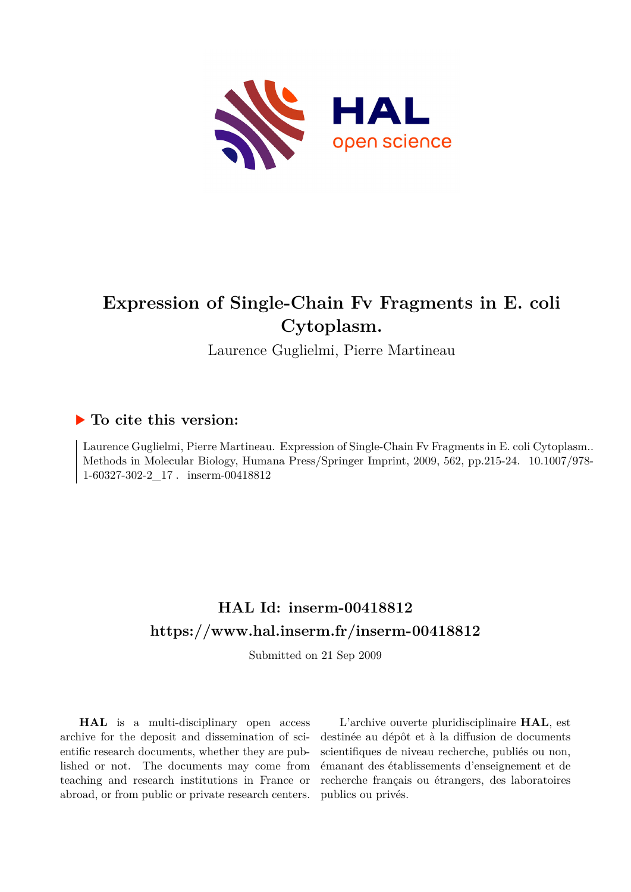

# **Expression of Single-Chain Fv Fragments in E. coli Cytoplasm.**

Laurence Guglielmi, Pierre Martineau

### **To cite this version:**

Laurence Guglielmi, Pierre Martineau. Expression of Single-Chain Fv Fragments in E. coli Cytoplasm.. Methods in Molecular Biology, Humana Press/Springer Imprint, 2009, 562, pp.215-24. 10.1007/978- $1-60327-302-2$  17. inserm-00418812

## **HAL Id: inserm-00418812 <https://www.hal.inserm.fr/inserm-00418812>**

Submitted on 21 Sep 2009

**HAL** is a multi-disciplinary open access archive for the deposit and dissemination of scientific research documents, whether they are published or not. The documents may come from teaching and research institutions in France or abroad, or from public or private research centers.

L'archive ouverte pluridisciplinaire **HAL**, est destinée au dépôt et à la diffusion de documents scientifiques de niveau recherche, publiés ou non, émanant des établissements d'enseignement et de recherche français ou étrangers, des laboratoires publics ou privés.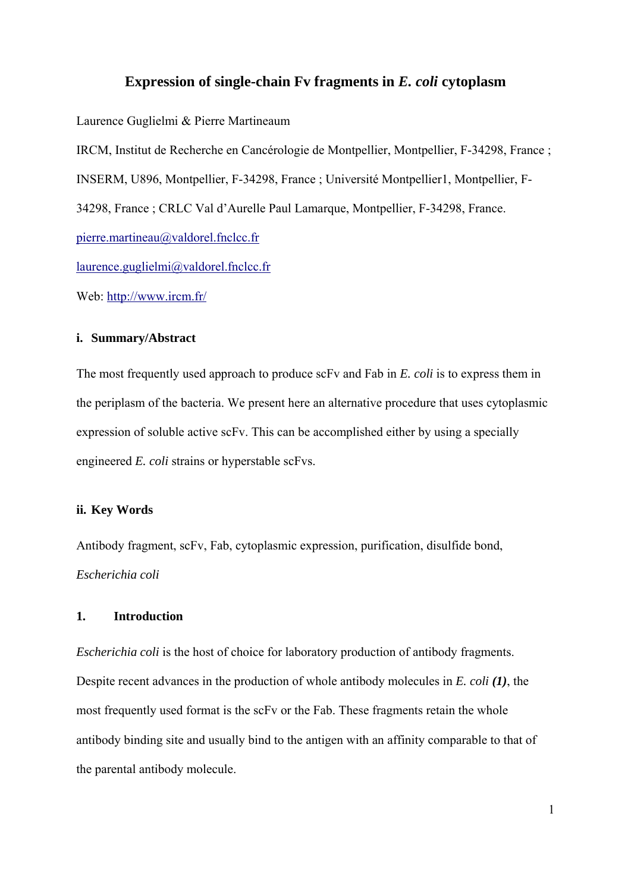#### **Expression of single-chain Fv fragments in** *E. coli* **cytoplasm**

Laurence Guglielmi & Pierre Martineaum

IRCM, Institut de Recherche en Cancérologie de Montpellier, Montpellier, F-34298, France ; INSERM, U896, Montpellier, F-34298, France ; Université Montpellier1, Montpellier, F-34298, France ; CRLC Val d'Aurelle Paul Lamarque, Montpellier, F-34298, France. pierre.martineau@valdorel.fnclcc.fr  $laurence.guglielmi@valdorel.fnclcc.fr$ 

Web: http://www.ircm.fr/

#### **i. Summary/Abstract**

The most frequently used approach to produce scFv and Fab in *E. coli* is to express them in the periplasm of the bacteria. We present here an alternative procedure that uses cytoplasmic expression of soluble active scFv. This can be accomplished either by using a specially engineered *E. coli* strains or hyperstable scFvs.

#### **ii. Key Words**

Antibody fragment, scFv, Fab, cytoplasmic expression, purification, disulfide bond, *Escherichia coli* 

#### **1. Introduction**

*Escherichia coli* is the host of choice for laboratory production of antibody fragments. Despite recent advances in the production of whole antibody molecules in *E. coli (1)*, the most frequently used format is the scFv or the Fab. These fragments retain the whole antibody binding site and usually bind to the antigen with an affinity comparable to that of the parental antibody molecule.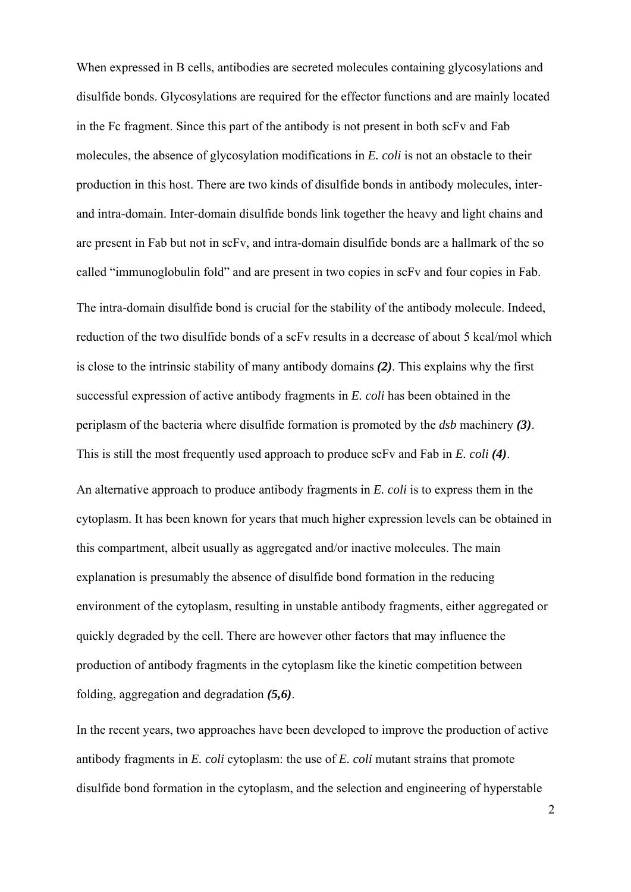When expressed in B cells, antibodies are secreted molecules containing glycosylations and disulfide bonds. Glycosylations are required for the effector functions and are mainly located in the Fc fragment. Since this part of the antibody is not present in both scFv and Fab molecules, the absence of glycosylation modifications in *E. coli* is not an obstacle to their production in this host. There are two kinds of disulfide bonds in antibody molecules, interand intra-domain. Inter-domain disulfide bonds link together the heavy and light chains and are present in Fab but not in scFv, and intra-domain disulfide bonds are a hallmark of the so called "immunoglobulin fold" and are present in two copies in scFv and four copies in Fab. The intra-domain disulfide bond is crucial for the stability of the antibody molecule. Indeed, reduction of the two disulfide bonds of a scFv results in a decrease of about 5 kcal/mol which is close to the intrinsic stability of many antibody domains *(2)*. This explains why the first successful expression of active antibody fragments in *E. coli* has been obtained in the periplasm of the bacteria where disulfide formation is promoted by the *dsb* machinery *(3)*. This is still the most frequently used approach to produce scFv and Fab in *E. coli (4)*.

An alternative approach to produce antibody fragments in *E. coli* is to express them in the cytoplasm. It has been known for years that much higher expression levels can be obtained in this compartment, albeit usually as aggregated and/or inactive molecules. The main explanation is presumably the absence of disulfide bond formation in the reducing environment of the cytoplasm, resulting in unstable antibody fragments, either aggregated or quickly degraded by the cell. There are however other factors that may influence the production of antibody fragments in the cytoplasm like the kinetic competition between folding, aggregation and degradation *(5,6)*.

In the recent years, two approaches have been developed to improve the production of active antibody fragments in *E. coli* cytoplasm: the use of *E. coli* mutant strains that promote disulfide bond formation in the cytoplasm, and the selection and engineering of hyperstable

2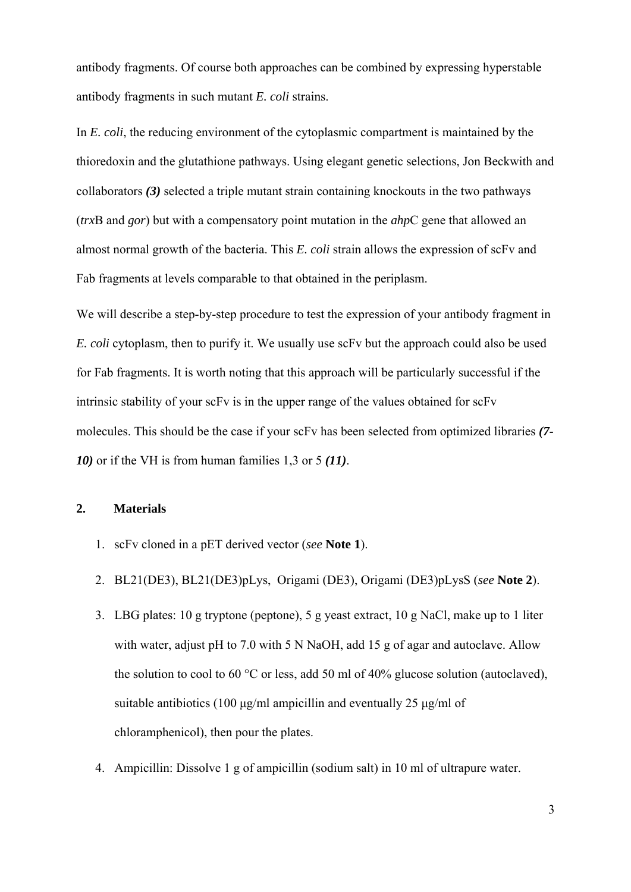antibody fragments. Of course both approaches can be combined by expressing hyperstable antibody fragments in such mutant *E. coli* strains.

In *E. coli*, the reducing environment of the cytoplasmic compartment is maintained by the thioredoxin and the glutathione pathways. Using elegant genetic selections, Jon Beckwith and collaborators *(3)* selected a triple mutant strain containing knockouts in the two pathways (*trx*B and *gor*) but with a compensatory point mutation in the *ahp*C gene that allowed an almost normal growth of the bacteria. This *E. coli* strain allows the expression of scFv and Fab fragments at levels comparable to that obtained in the periplasm.

We will describe a step-by-step procedure to test the expression of your antibody fragment in *E. coli* cytoplasm, then to purify it. We usually use scFv but the approach could also be used for Fab fragments. It is worth noting that this approach will be particularly successful if the intrinsic stability of your scFv is in the upper range of the values obtained for scFv molecules. This should be the case if your scFv has been selected from optimized libraries *(7- 10)* or if the VH is from human families 1,3 or 5 *(11)*.

#### **2. Materials**

- 1. scFv cloned in a pET derived vector (*see* **Note 1**).
- 2. BL21(DE3), BL21(DE3)pLys, Origami (DE3), Origami (DE3)pLysS (*see* **Note 2**).
- 3. LBG plates: 10 g tryptone (peptone), 5 g yeast extract, 10 g NaCl, make up to 1 liter with water, adjust pH to 7.0 with 5 N NaOH, add 15 g of agar and autoclave. Allow the solution to cool to 60 °C or less, add 50 ml of 40% glucose solution (autoclaved), suitable antibiotics (100 μg/ml ampicillin and eventually 25 μg/ml of chloramphenicol), then pour the plates.
- 4. Ampicillin: Dissolve 1 g of ampicillin (sodium salt) in 10 ml of ultrapure water.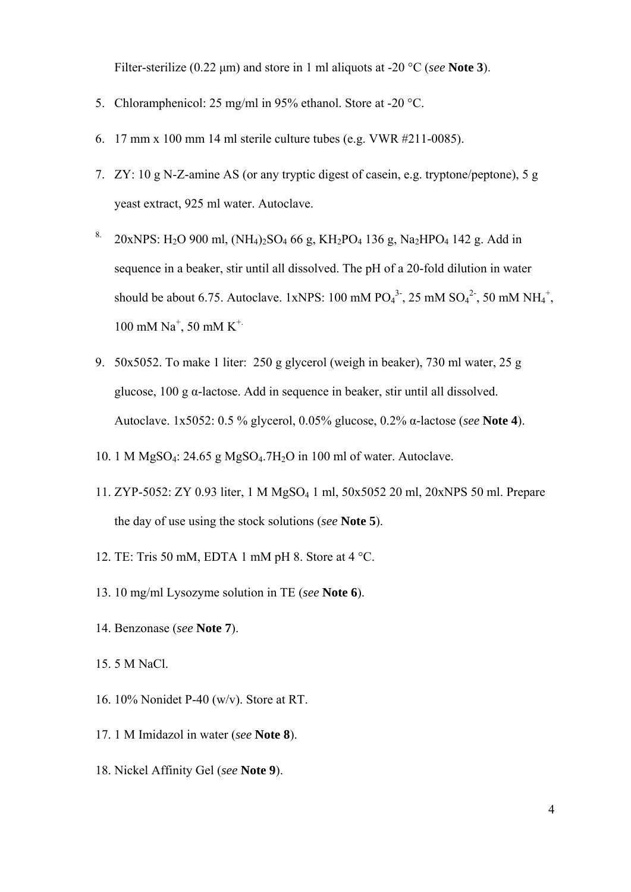Filter-sterilize (0.22 μm) and store in 1 ml aliquots at -20 °C (*see* **Note 3**).

- 5. Chloramphenicol: 25 mg/ml in 95% ethanol. Store at -20 °C.
- 6. 17 mm x 100 mm 14 ml sterile culture tubes (e.g. VWR #211-0085).
- 7. ZY: 10 g N-Z-amine AS (or any tryptic digest of casein, e.g. tryptone/peptone), 5 g yeast extract, 925 ml water. Autoclave.
- <sup>8.</sup> 20xNPS: H<sub>2</sub>O 900 ml, (NH<sub>4</sub>)<sub>2</sub>SO<sub>4</sub> 66 g, KH<sub>2</sub>PO<sub>4</sub> 136 g, Na<sub>2</sub>HPO<sub>4</sub> 142 g, Add in sequence in a beaker, stir until all dissolved. The pH of a 20-fold dilution in water should be about 6.75. Autoclave. 1xNPS: 100 mM  $PO_4^3$ , 25 mM  $SO_4^2$ , 50 mM NH<sub>4</sub><sup>+</sup>, 100 mM  $Na^+$ , 50 mM  $K^+$
- 9. 50x5052. To make 1 liter: 250 g glycerol (weigh in beaker), 730 ml water, 25 g glucose, 100 g α-lactose. Add in sequence in beaker, stir until all dissolved. Autoclave. 1x5052: 0.5 % glycerol, 0.05% glucose, 0.2% α-lactose (*see* **Note 4**).
- 10. 1 M MgSO4: 24.65 g MgSO4.7H2O in 100 ml of water. Autoclave.
- 11. ZYP-5052: ZY 0.93 liter, 1 M MgSO4 1 ml, 50x5052 20 ml, 20xNPS 50 ml. Prepare the day of use using the stock solutions (*see* **Note 5**).
- 12. TE: Tris 50 mM, EDTA 1 mM pH 8. Store at 4 °C.
- 13. 10 mg/ml Lysozyme solution in TE (*see* **Note 6**).
- 14. Benzonase (*see* **Note 7**).
- 15. 5 M NaCl.
- 16. 10% Nonidet P-40 (w/v). Store at RT.
- 17. 1 M Imidazol in water (*see* **Note 8**).
- 18. Nickel Affinity Gel (*see* **Note 9**).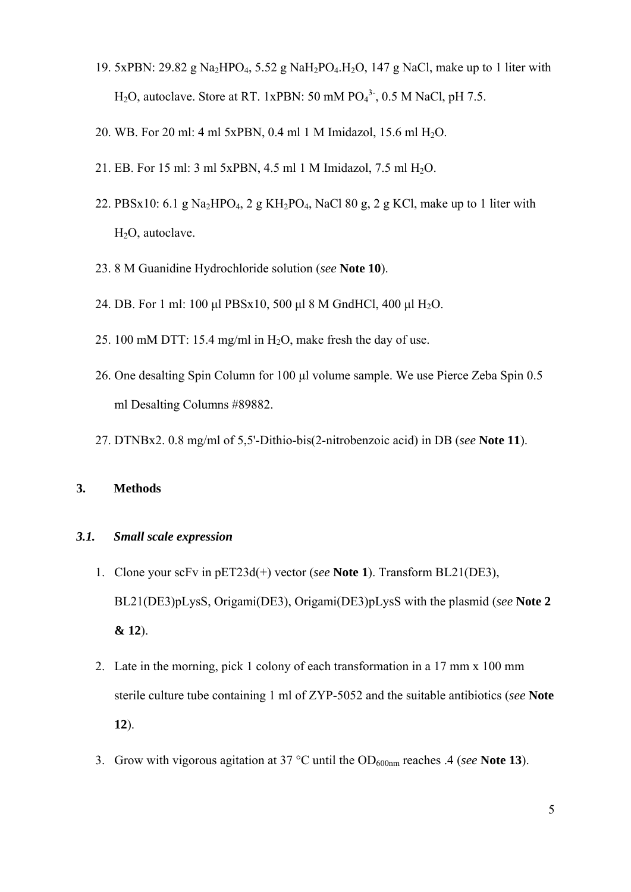- 19. 5xPBN: 29.82 g Na<sub>2</sub>HPO<sub>4</sub>, 5.52 g NaH<sub>2</sub>PO<sub>4</sub>.H<sub>2</sub>O, 147 g NaCl, make up to 1 liter with  $H<sub>2</sub>O$ , autoclave. Store at RT. 1xPBN: 50 mM  $PO<sub>4</sub><sup>3</sup>$ , 0.5 M NaCl, pH 7.5.
- 20. WB. For 20 ml: 4 ml 5xPBN, 0.4 ml 1 M Imidazol, 15.6 ml H2O.
- 21. EB. For 15 ml: 3 ml 5xPBN, 4.5 ml 1 M Imidazol, 7.5 ml H2O.
- 22. PBSx10: 6.1 g Na<sub>2</sub>HPO<sub>4</sub>, 2 g KH<sub>2</sub>PO<sub>4</sub>, NaCl 80 g, 2 g KCl, make up to 1 liter with H<sub>2</sub>O, autoclave.
- 23. 8 M Guanidine Hydrochloride solution (*see* **Note 10**).
- 24. DB. For 1 ml: 100 μl PBSx10, 500 μl 8 M GndHCl, 400 μl H2O.
- 25. 100 mM DTT: 15.4 mg/ml in H2O, make fresh the day of use.
- 26. One desalting Spin Column for 100 μl volume sample. We use Pierce Zeba Spin 0.5 ml Desalting Columns #89882.
- 27. DTNBx2. 0.8 mg/ml of 5,5'-Dithio-bis(2-nitrobenzoic acid) in DB (*see* **Note 11**).

#### **3. Methods**

#### *3.1. Small scale expression*

- 1. Clone your scFv in pET23d(+) vector (*see* **Note 1**). Transform BL21(DE3), BL21(DE3)pLysS, Origami(DE3), Origami(DE3)pLysS with the plasmid (*see* **Note 2 & 12**).
- 2. Late in the morning, pick 1 colony of each transformation in a 17 mm x 100 mm sterile culture tube containing 1 ml of ZYP-5052 and the suitable antibiotics (*see* **Note 12**).
- 3. Grow with vigorous agitation at 37 °C until the OD600nm reaches .4 (*see* **Note 13**).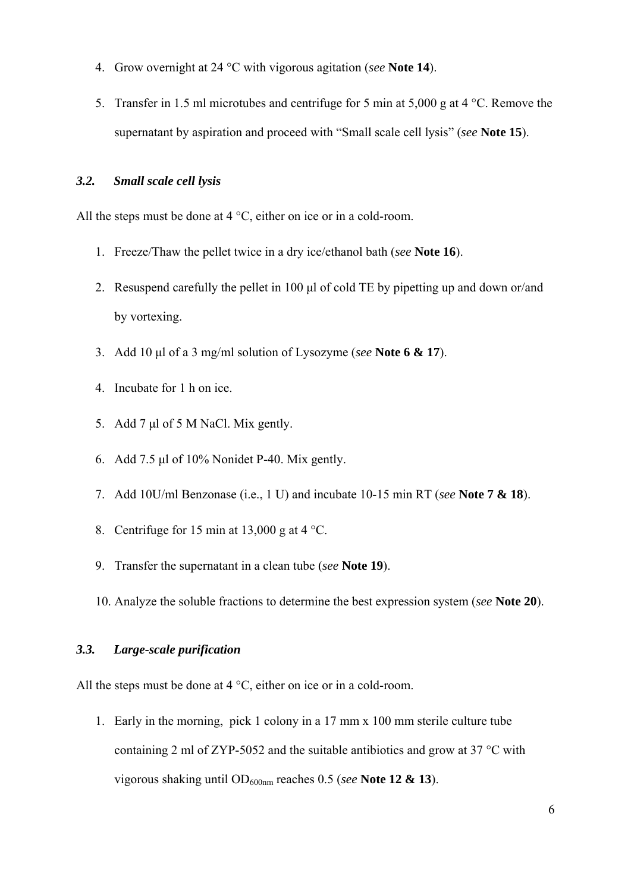- 4. Grow overnight at 24 °C with vigorous agitation (*see* **Note 14**).
- 5. Transfer in 1.5 ml microtubes and centrifuge for 5 min at 5,000 g at 4 °C. Remove the supernatant by aspiration and proceed with "Small scale cell lysis" (*see* **Note 15**).

#### *3.2. Small scale cell lysis*

All the steps must be done at  $4^{\circ}$ C, either on ice or in a cold-room.

- 1. Freeze/Thaw the pellet twice in a dry ice/ethanol bath (*see* **Note 16**).
- 2. Resuspend carefully the pellet in 100 μl of cold TE by pipetting up and down or/and by vortexing.
- 3. Add 10 μl of a 3 mg/ml solution of Lysozyme (*see* **Note 6 & 17**).
- 4. Incubate for 1 h on ice.
- 5. Add 7 μl of 5 M NaCl. Mix gently.
- 6. Add 7.5 μl of 10% Nonidet P-40. Mix gently.
- 7. Add 10U/ml Benzonase (i.e., 1 U) and incubate 10-15 min RT (*see* **Note 7 & 18**).
- 8. Centrifuge for 15 min at 13,000 g at 4 °C.
- 9. Transfer the supernatant in a clean tube (*see* **Note 19**).
- 10. Analyze the soluble fractions to determine the best expression system (*see* **Note 20**).

#### *3.3. Large-scale purification*

All the steps must be done at  $4^{\circ}$ C, either on ice or in a cold-room.

1. Early in the morning, pick 1 colony in a 17 mm x 100 mm sterile culture tube containing 2 ml of ZYP-5052 and the suitable antibiotics and grow at 37 °C with vigorous shaking until OD600nm reaches 0.5 (*see* **Note 12 & 13**).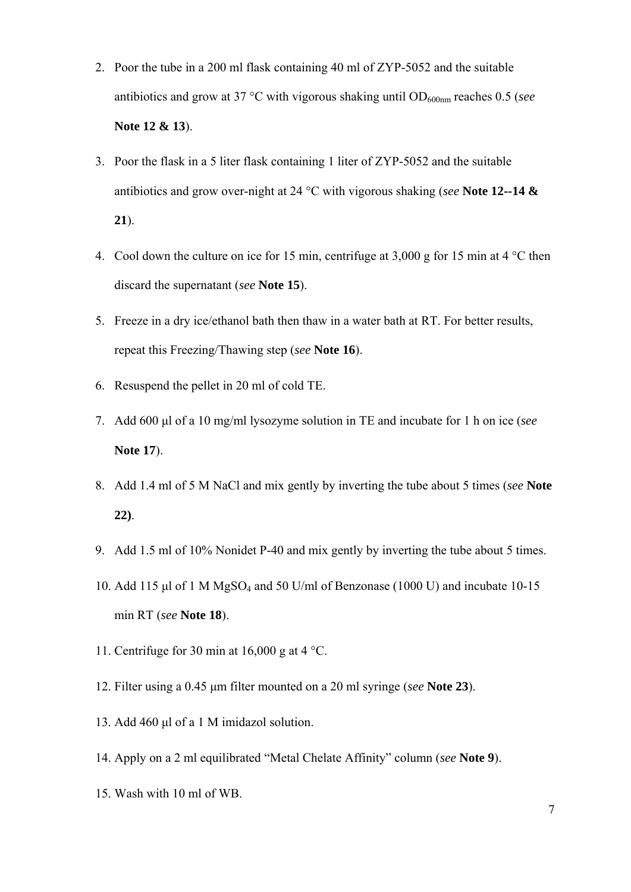- 2. Poor the tube in a 200 ml flask containing 40 ml of ZYP-5052 and the suitable antibiotics and grow at 37 °C with vigorous shaking until OD<sub>600nm</sub> reaches 0.5 (*see* **Note 12 & 13**).
- 3. Poor the flask in a 5 liter flask containing 1 liter of ZYP-5052 and the suitable antibiotics and grow over-night at 24 °C with vigorous shaking (*see* **Note 12--14 & 21**).
- 4. Cool down the culture on ice for 15 min, centrifuge at 3,000 g for 15 min at 4 °C then discard the supernatant (*see* **Note 15**).
- 5. Freeze in a dry ice/ethanol bath then thaw in a water bath at RT. For better results, repeat this Freezing/Thawing step (*see* **Note 16**).
- 6. Resuspend the pellet in 20 ml of cold TE.
- 7. Add 600 μl of a 10 mg/ml lysozyme solution in TE and incubate for 1 h on ice (*see* **Note 17**).
- 8. Add 1.4 ml of 5 M NaCl and mix gently by inverting the tube about 5 times (*see* **Note 22)**.
- 9. Add 1.5 ml of 10% Nonidet P-40 and mix gently by inverting the tube about 5 times.
- 10. Add 115 μl of 1 M MgSO4 and 50 U/ml of Benzonase (1000 U) and incubate 10-15 min RT (*see* **Note 18**).
- 11. Centrifuge for 30 min at 16,000 g at 4 °C.
- 12. Filter using a 0.45 μm filter mounted on a 20 ml syringe (*see* **Note 23**).
- 13. Add 460 μl of a 1 M imidazol solution.
- 14. Apply on a 2 ml equilibrated "Metal Chelate Affinity" column (*see* **Note 9**).
- 15. Wash with 10 ml of WB.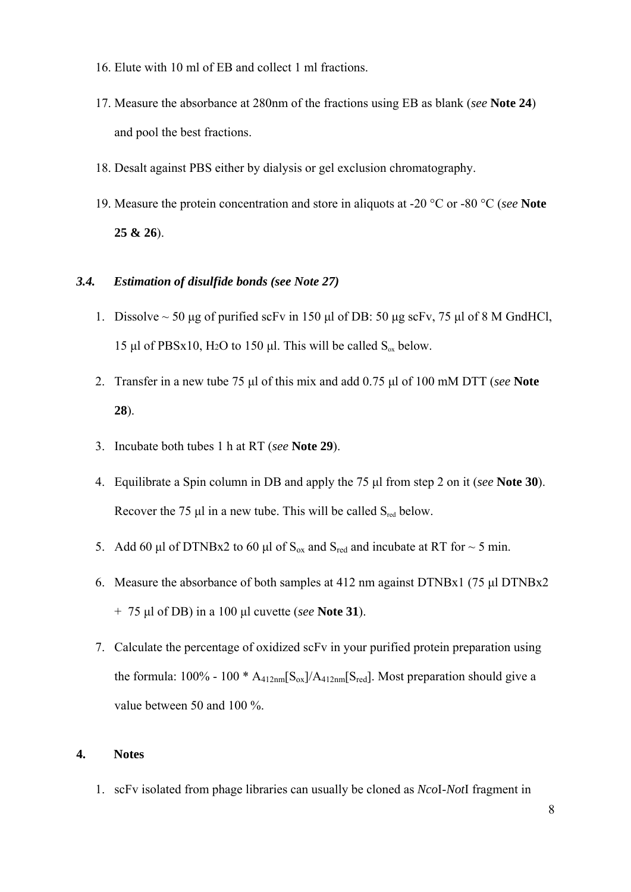- 16. Elute with 10 ml of EB and collect 1 ml fractions.
- 17. Measure the absorbance at 280nm of the fractions using EB as blank (*see* **Note 24**) and pool the best fractions.
- 18. Desalt against PBS either by dialysis or gel exclusion chromatography.
- 19. Measure the protein concentration and store in aliquots at -20 °C or -80 °C (*see* **Note 25 & 26**).

#### *3.4. Estimation of disulfide bonds (see Note 27)*

- 1. Dissolve  $\sim$  50 μg of purified scFv in 150 μl of DB: 50 μg scFv, 75 μl of 8 M GndHCl, 15 μl of PBSx10, H<sub>2</sub>O to 150 μl. This will be called  $S_{ox}$  below.
- 2. Transfer in a new tube 75 μl of this mix and add 0.75 μl of 100 mM DTT (*see* **Note 28**).
- 3. Incubate both tubes 1 h at RT (*see* **Note 29**).
- 4. Equilibrate a Spin column in DB and apply the 75 μl from step 2 on it (*see* **Note 30**). Recover the 75  $\mu$ l in a new tube. This will be called  $S_{\text{red}}$  below.
- 5. Add 60 μl of DTNBx2 to 60 μl of  $S_{ox}$  and  $S_{red}$  and incubate at RT for  $\sim$  5 min.
- 6. Measure the absorbance of both samples at 412 nm against DTNBx1 (75 μl DTNBx2 + 75 μl of DB) in a 100 μl cuvette (*see* **Note 31**).
- 7. Calculate the percentage of oxidized scFv in your purified protein preparation using the formula:  $100\%$  -  $100 * A_{412nm} [S_{ox}]/A_{412nm} [S_{red}]$ . Most preparation should give a value between 50 and 100 %.

#### **4. Notes**

1. scFv isolated from phage libraries can usually be cloned as *Nco*I-*Not*I fragment in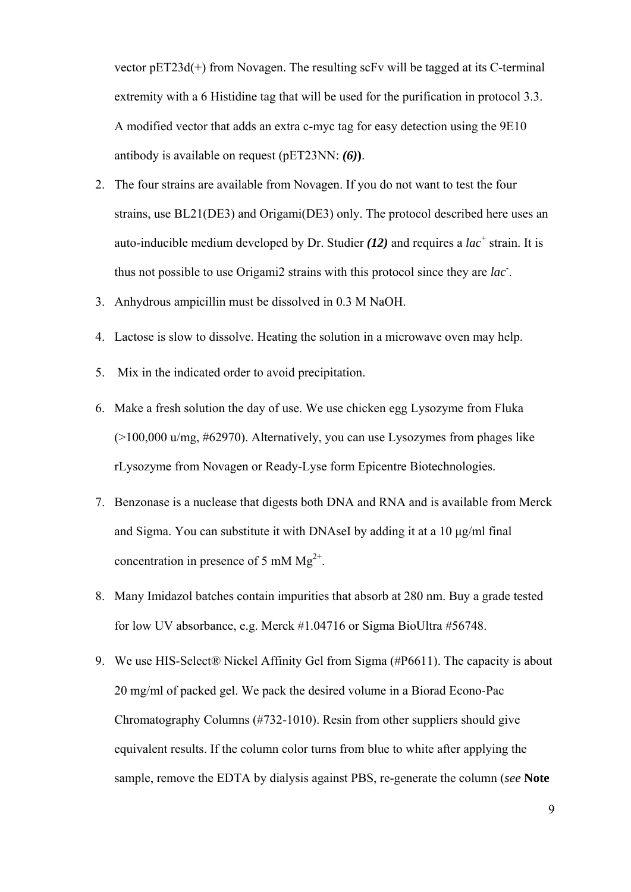vector pET23d(+) from Novagen. The resulting scFv will be tagged at its C-terminal extremity with a 6 Histidine tag that will be used for the purification in protocol 3.3. A modified vector that adds an extra c-myc tag for easy detection using the 9E10 antibody is available on request (pET23NN: *(6)***)**.

- 2. The four strains are available from Novagen. If you do not want to test the four strains, use BL21(DE3) and Origami(DE3) only. The protocol described here uses an auto-inducible medium developed by Dr. Studier  $(12)$  and requires a *lac*<sup>+</sup> strain. It is thus not possible to use Origami2 strains with this protocol since they are *lac*- .
- 3. Anhydrous ampicillin must be dissolved in 0.3 M NaOH.
- 4. Lactose is slow to dissolve. Heating the solution in a microwave oven may help.
- 5. Mix in the indicated order to avoid precipitation.
- 6. Make a fresh solution the day of use. We use chicken egg Lysozyme from Fluka (>100,000 u/mg, #62970). Alternatively, you can use Lysozymes from phages like rLysozyme from Novagen or Ready-Lyse form Epicentre Biotechnologies.
- 7. Benzonase is a nuclease that digests both DNA and RNA and is available from Merck and Sigma. You can substitute it with DNAseI by adding it at a 10 μg/ml final concentration in presence of 5 mM  $Mg^{2+}$ .
- 8. Many Imidazol batches contain impurities that absorb at 280 nm. Buy a grade tested for low UV absorbance, e.g. Merck #1.04716 or Sigma BioUltra #56748.
- 9. We use HIS-Select® Nickel Affinity Gel from Sigma (#P6611). The capacity is about 20 mg/ml of packed gel. We pack the desired volume in a Biorad Econo-Pac Chromatography Columns (#732-1010). Resin from other suppliers should give equivalent results. If the column color turns from blue to white after applying the sample, remove the EDTA by dialysis against PBS, re-generate the column (*see* **Note**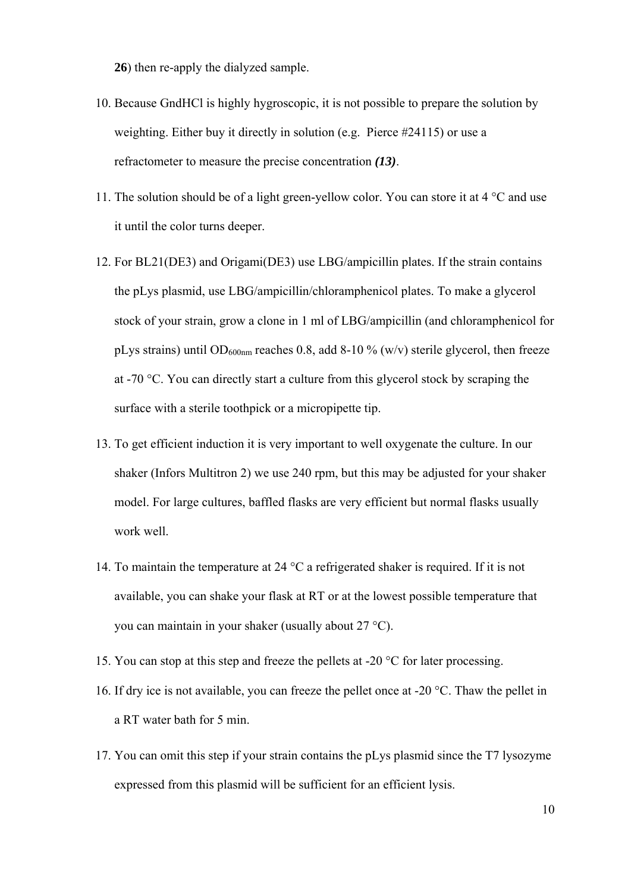**26**) then re-apply the dialyzed sample.

- 10. Because GndHCl is highly hygroscopic, it is not possible to prepare the solution by weighting. Either buy it directly in solution (e.g. Pierce #24115) or use a refractometer to measure the precise concentration *(13)*.
- 11. The solution should be of a light green-yellow color. You can store it at 4 °C and use it until the color turns deeper.
- 12. For BL21(DE3) and Origami(DE3) use LBG/ampicillin plates. If the strain contains the pLys plasmid, use LBG/ampicillin/chloramphenicol plates. To make a glycerol stock of your strain, grow a clone in 1 ml of LBG/ampicillin (and chloramphenicol for pLys strains) until OD<sub>600nm</sub> reaches 0.8, add 8-10 % (w/v) sterile glycerol, then freeze at -70 °C. You can directly start a culture from this glycerol stock by scraping the surface with a sterile toothpick or a micropipette tip.
- 13. To get efficient induction it is very important to well oxygenate the culture. In our shaker (Infors Multitron 2) we use 240 rpm, but this may be adjusted for your shaker model. For large cultures, baffled flasks are very efficient but normal flasks usually work well.
- 14. To maintain the temperature at 24 °C a refrigerated shaker is required. If it is not available, you can shake your flask at RT or at the lowest possible temperature that you can maintain in your shaker (usually about 27 °C).
- 15. You can stop at this step and freeze the pellets at -20 °C for later processing.
- 16. If dry ice is not available, you can freeze the pellet once at -20 °C. Thaw the pellet in a RT water bath for 5 min.
- 17. You can omit this step if your strain contains the pLys plasmid since the T7 lysozyme expressed from this plasmid will be sufficient for an efficient lysis.

10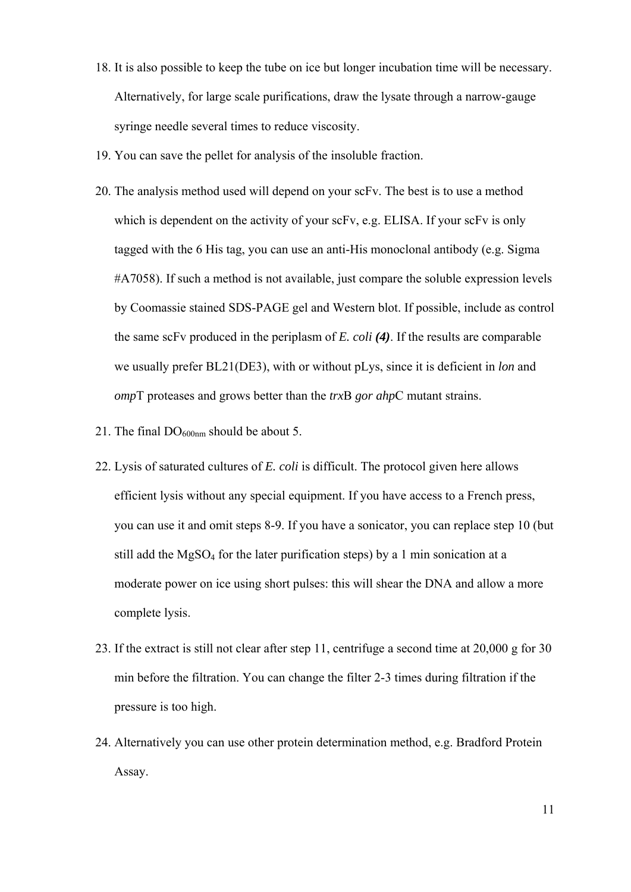- 18. It is also possible to keep the tube on ice but longer incubation time will be necessary. Alternatively, for large scale purifications, draw the lysate through a narrow-gauge syringe needle several times to reduce viscosity.
- 19. You can save the pellet for analysis of the insoluble fraction.
- 20. The analysis method used will depend on your scFv. The best is to use a method which is dependent on the activity of your scFv, e.g. ELISA. If your scFv is only tagged with the 6 His tag, you can use an anti-His monoclonal antibody (e.g. Sigma #A7058). If such a method is not available, just compare the soluble expression levels by Coomassie stained SDS-PAGE gel and Western blot. If possible, include as control the same scFv produced in the periplasm of *E. coli (4)*. If the results are comparable we usually prefer BL21(DE3), with or without pLys, since it is deficient in *lon* and *omp*T proteases and grows better than the *trx*B *gor ahp*C mutant strains.
- 21. The final  $DO<sub>600nm</sub>$  should be about 5.
- 22. Lysis of saturated cultures of *E. coli* is difficult. The protocol given here allows efficient lysis without any special equipment. If you have access to a French press, you can use it and omit steps 8-9. If you have a sonicator, you can replace step 10 (but still add the  $MgSO_4$  for the later purification steps) by a 1 min sonication at a moderate power on ice using short pulses: this will shear the DNA and allow a more complete lysis.
- 23. If the extract is still not clear after step 11, centrifuge a second time at 20,000 g for 30 min before the filtration. You can change the filter 2-3 times during filtration if the pressure is too high.
- 24. Alternatively you can use other protein determination method, e.g. Bradford Protein Assay.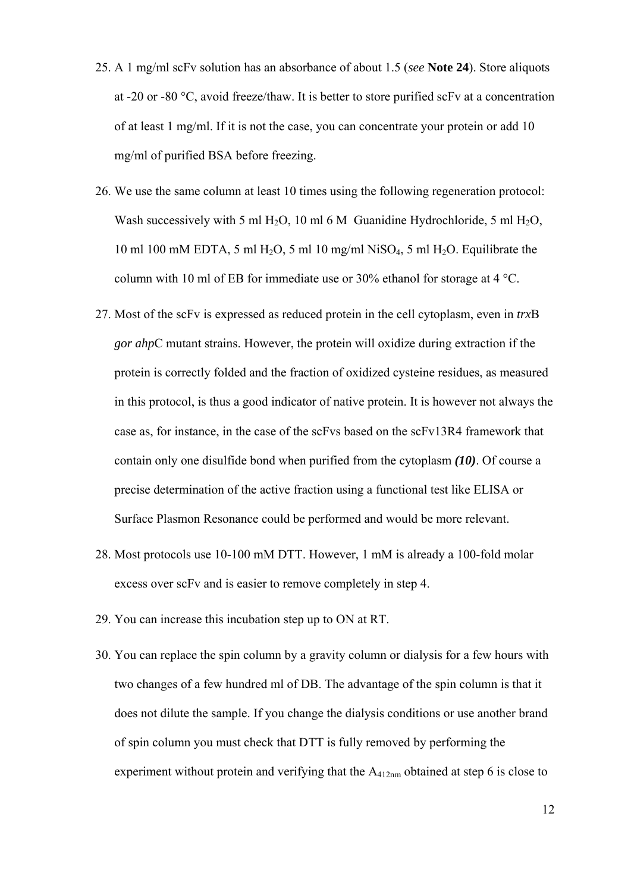- 25. A 1 mg/ml scFv solution has an absorbance of about 1.5 (*see* **Note 24**). Store aliquots at -20 or -80 °C, avoid freeze/thaw. It is better to store purified scFv at a concentration of at least 1 mg/ml. If it is not the case, you can concentrate your protein or add 10 mg/ml of purified BSA before freezing.
- 26. We use the same column at least 10 times using the following regeneration protocol: Wash successively with 5 ml H<sub>2</sub>O, 10 ml 6 M Guanidine Hydrochloride, 5 ml H<sub>2</sub>O, 10 ml 100 mM EDTA, 5 ml H<sub>2</sub>O, 5 ml 10 mg/ml NiSO<sub>4</sub>, 5 ml H<sub>2</sub>O. Equilibrate the column with 10 ml of EB for immediate use or 30% ethanol for storage at 4 °C.
- 27. Most of the scFv is expressed as reduced protein in the cell cytoplasm, even in *trx*B *gor ahp*C mutant strains. However, the protein will oxidize during extraction if the protein is correctly folded and the fraction of oxidized cysteine residues, as measured in this protocol, is thus a good indicator of native protein. It is however not always the case as, for instance, in the case of the scFvs based on the scFv13R4 framework that contain only one disulfide bond when purified from the cytoplasm *(10)*. Of course a precise determination of the active fraction using a functional test like ELISA or Surface Plasmon Resonance could be performed and would be more relevant.
- 28. Most protocols use 10-100 mM DTT. However, 1 mM is already a 100-fold molar excess over scFv and is easier to remove completely in step 4.
- 29. You can increase this incubation step up to ON at RT.
- 30. You can replace the spin column by a gravity column or dialysis for a few hours with two changes of a few hundred ml of DB. The advantage of the spin column is that it does not dilute the sample. If you change the dialysis conditions or use another brand of spin column you must check that DTT is fully removed by performing the experiment without protein and verifying that the A412nm obtained at step 6 is close to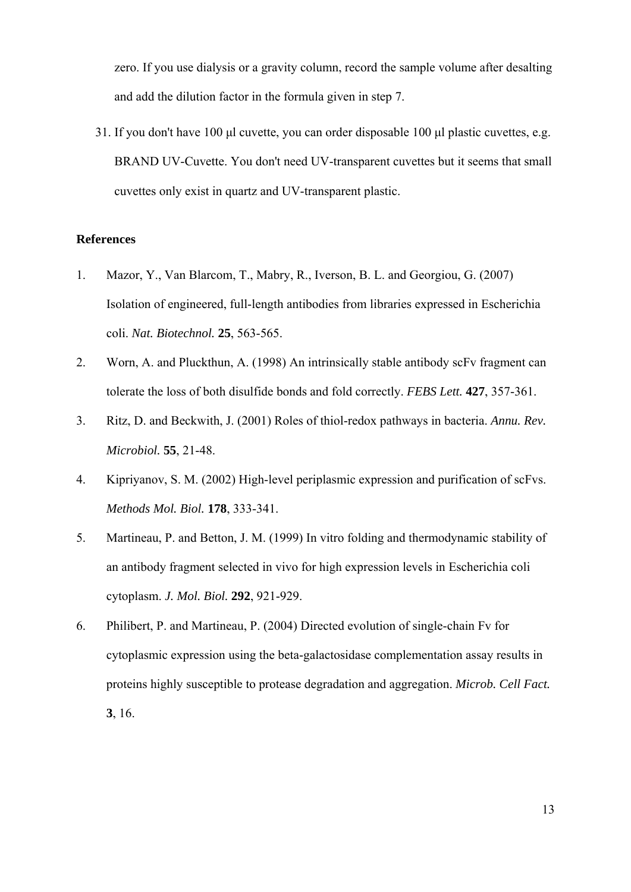zero. If you use dialysis or a gravity column, record the sample volume after desalting and add the dilution factor in the formula given in step 7.

31. If you don't have 100 μl cuvette, you can order disposable 100 μl plastic cuvettes, e.g. BRAND UV-Cuvette. You don't need UV-transparent cuvettes but it seems that small cuvettes only exist in quartz and UV-transparent plastic.

#### **References**

- 1. Mazor, Y., Van Blarcom, T., Mabry, R., Iverson, B. L. and Georgiou, G. (2007) Isolation of engineered, full-length antibodies from libraries expressed in Escherichia coli. *Nat. Biotechnol.* **25**, 563-565.
- 2. Worn, A. and Pluckthun, A. (1998) An intrinsically stable antibody scFv fragment can tolerate the loss of both disulfide bonds and fold correctly. *FEBS Lett.* **427**, 357-361.
- 3. Ritz, D. and Beckwith, J. (2001) Roles of thiol-redox pathways in bacteria. *Annu. Rev. Microbiol.* **55**, 21-48.
- 4. Kipriyanov, S. M. (2002) High-level periplasmic expression and purification of scFvs. *Methods Mol. Biol.* **178**, 333-341.
- 5. Martineau, P. and Betton, J. M. (1999) In vitro folding and thermodynamic stability of an antibody fragment selected in vivo for high expression levels in Escherichia coli cytoplasm. *J. Mol. Biol.* **292**, 921-929.
- 6. Philibert, P. and Martineau, P. (2004) Directed evolution of single-chain Fv for cytoplasmic expression using the beta-galactosidase complementation assay results in proteins highly susceptible to protease degradation and aggregation. *Microb. Cell Fact.* **3**, 16.